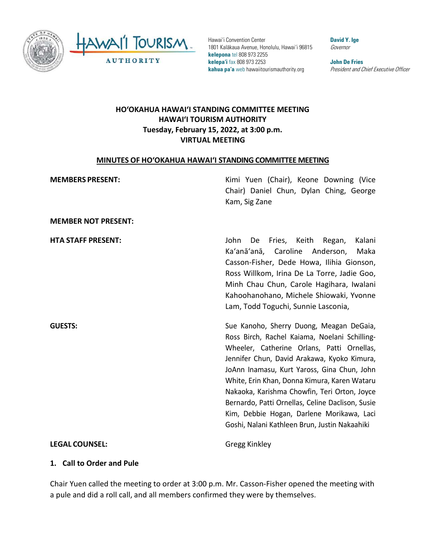

Hawai'i Convention Center 1801 Kalākaua Avenue, Honolulu, Hawai'i 96815 **kelepona** tel 808 973 2255 **kelepa'i** fax 808 973 2253 **kahua pa'a** web hawaiitourismauthority.org

**David Y. Ige** Governor

**John De Fries** President and Chief Executive Officer

## **HO'OKAHUA HAWAI'I STANDING COMMITTEE MEETING HAWAI'I TOURISM AUTHORITY Tuesday, February 15, 2022, at 3:00 p.m. VIRTUAL MEETING**

#### **MINUTES OF HO'OKAHUA HAWAI'I STANDING COMMITTEE MEETING**

| <b>MEMBERS PRESENT:</b>    | Kimi Yuen (Chair), Keone Downing (Vice<br>Chair) Daniel Chun, Dylan Ching, George<br>Kam, Sig Zane                                                                                                                                                                                                                                                                                                                                                                                      |
|----------------------------|-----------------------------------------------------------------------------------------------------------------------------------------------------------------------------------------------------------------------------------------------------------------------------------------------------------------------------------------------------------------------------------------------------------------------------------------------------------------------------------------|
| <b>MEMBER NOT PRESENT:</b> |                                                                                                                                                                                                                                                                                                                                                                                                                                                                                         |
| <b>HTA STAFF PRESENT:</b>  | Kalani<br>John<br>Fries, Keith<br>Regan,<br>De<br>Ka'anā'anā, Caroline<br>Anderson,<br>Maka<br>Casson-Fisher, Dede Howa, Ilihia Gionson,<br>Ross Willkom, Irina De La Torre, Jadie Goo,<br>Minh Chau Chun, Carole Hagihara, Iwalani<br>Kahoohanohano, Michele Shiowaki, Yvonne<br>Lam, Todd Toguchi, Sunnie Lasconia,                                                                                                                                                                   |
| <b>GUESTS:</b>             | Sue Kanoho, Sherry Duong, Meagan DeGaia,<br>Ross Birch, Rachel Kaiama, Noelani Schilling-<br>Wheeler, Catherine Orlans, Patti Ornellas,<br>Jennifer Chun, David Arakawa, Kyoko Kimura,<br>JoAnn Inamasu, Kurt Yaross, Gina Chun, John<br>White, Erin Khan, Donna Kimura, Karen Wataru<br>Nakaoka, Karishma Chowfin, Teri Orton, Joyce<br>Bernardo, Patti Ornellas, Celine Daclison, Susie<br>Kim, Debbie Hogan, Darlene Morikawa, Laci<br>Goshi, Nalani Kathleen Brun, Justin Nakaahiki |
| <b>LEGAL COUNSEL:</b>      | Gregg Kinkley                                                                                                                                                                                                                                                                                                                                                                                                                                                                           |

#### **1. Call to Order and Pule**

Chair Yuen called the meeting to order at 3:00 p.m. Mr. Casson-Fisher opened the meeting with a pule and did a roll call, and all members confirmed they were by themselves.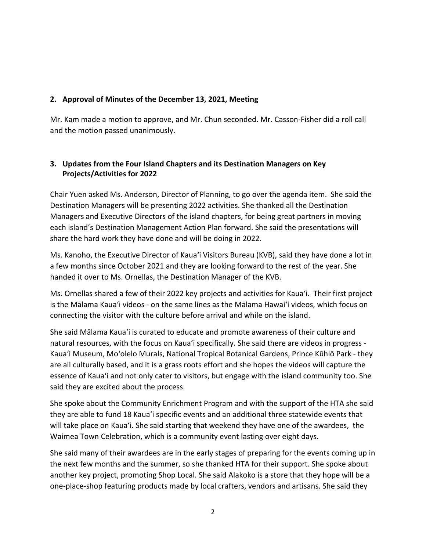#### **2. Approval of Minutes of the December 13, 2021, Meeting**

Mr. Kam made a motion to approve, and Mr. Chun seconded. Mr. Casson-Fisher did a roll call and the motion passed unanimously.

## **3. Updates from the Four Island Chapters and its Destination Managers on Key Projects/Activities for 2022**

Chair Yuen asked Ms. Anderson, Director of Planning, to go over the agenda item. She said the Destination Managers will be presenting 2022 activities. She thanked all the Destination Managers and Executive Directors of the island chapters, for being great partners in moving each island's Destination Management Action Plan forward. She said the presentations will share the hard work they have done and will be doing in 2022.

Ms. Kanoho, the Executive Director of Kaua'i Visitors Bureau (KVB), said they have done a lot in a few months since October 2021 and they are looking forward to the rest of the year. She handed it over to Ms. Ornellas, the Destination Manager of the KVB.

Ms. Ornellas shared a few of their 2022 key projects and activities for Kauaʻi. Their first project is the Mālama Kauaʻi videos - on the same lines as the Mālama Hawai'i videos, which focus on connecting the visitor with the culture before arrival and while on the island.

She said Mālama Kauaʻi is curated to educate and promote awareness of their culture and natural resources, with the focus on Kauaʻi specifically. She said there are videos in progress - Kauaʻi Museum, Mo'olelo Murals, National Tropical Botanical Gardens, Prince Kūhlō Park - they are all culturally based, and it is a grass roots effort and she hopes the videos will capture the essence of Kauaʻi and not only cater to visitors, but engage with the island community too. She said they are excited about the process.

She spoke about the Community Enrichment Program and with the support of the HTA she said they are able to fund 18 Kauaʻi specific events and an additional three statewide events that will take place on Kauaʻi. She said starting that weekend they have one of the awardees, the Waimea Town Celebration, which is a community event lasting over eight days.

She said many of their awardees are in the early stages of preparing for the events coming up in the next few months and the summer, so she thanked HTA for their support. She spoke about another key project, promoting Shop Local. She said Alakoko is a store that they hope will be a one-place-shop featuring products made by local crafters, vendors and artisans. She said they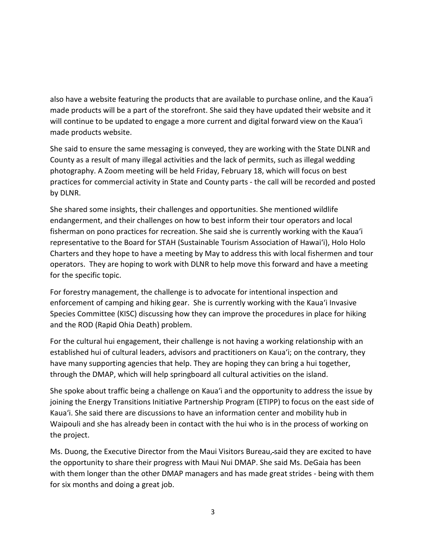also have a website featuring the products that are available to purchase online, and the Kauaʻi made products will be a part of the storefront. She said they have updated their website and it will continue to be updated to engage a more current and digital forward view on the Kauaʻi made products website.

She said to ensure the same messaging is conveyed, they are working with the State DLNR and County as a result of many illegal activities and the lack of permits, such as illegal wedding photography. A Zoom meeting will be held Friday, February 18, which will focus on best practices for commercial activity in State and County parts - the call will be recorded and posted by DLNR.

She shared some insights, their challenges and opportunities. She mentioned wildlife endangerment, and their challenges on how to best inform their tour operators and local fisherman on pono practices for recreation. She said she is currently working with the Kauaʻi representative to the Board for STAH (Sustainable Tourism Association of Hawai'i), Holo Holo Charters and they hope to have a meeting by May to address this with local fishermen and tour operators. They are hoping to work with DLNR to help move this forward and have a meeting for the specific topic.

For forestry management, the challenge is to advocate for intentional inspection and enforcement of camping and hiking gear. She is currently working with the Kauaʻi Invasive Species Committee (KISC) discussing how they can improve the procedures in place for hiking and the ROD (Rapid Ohia Death) problem.

For the cultural hui engagement, their challenge is not having a working relationship with an established hui of cultural leaders, advisors and practitioners on Kauaʻi; on the contrary, they have many supporting agencies that help. They are hoping they can bring a hui together, through the DMAP, which will help springboard all cultural activities on the island.

She spoke about traffic being a challenge on Kauaʻi and the opportunity to address the issue by joining the Energy Transitions Initiative Partnership Program (ETIPP) to focus on the east side of Kauaʻi. She said there are discussions to have an information center and mobility hub in Waipouli and she has already been in contact with the hui who is in the process of working on the project.

Ms. Duong, the Executive Director from the Maui Visitors Bureau, said they are excited to have the opportunity to share their progress with Maui Nui DMAP. She said Ms. DeGaia has been with them longer than the other DMAP managers and has made great strides - being with them for six months and doing a great job.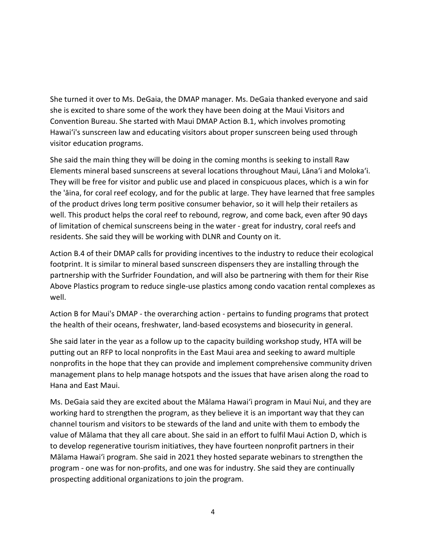She turned it over to Ms. DeGaia, the DMAP manager. Ms. DeGaia thanked everyone and said she is excited to share some of the work they have been doing at the Maui Visitors and Convention Bureau. She started with Maui DMAP Action B.1, which involves promoting Hawai'i's sunscreen law and educating visitors about proper sunscreen being used through visitor education programs.

She said the main thing they will be doing in the coming months is seeking to install Raw Elements mineral based sunscreens at several locations throughout Maui, Lāna'i and Moloka'i. They will be free for visitor and public use and placed in conspicuous places, which is a win for the 'āina, for coral reef ecology, and for the public at large. They have learned that free samples of the product drives long term positive consumer behavior, so it will help their retailers as well. This product helps the coral reef to rebound, regrow, and come back, even after 90 days of limitation of chemical sunscreens being in the water - great for industry, coral reefs and residents. She said they will be working with DLNR and County on it.

Action B.4 of their DMAP calls for providing incentives to the industry to reduce their ecological footprint. It is similar to mineral based sunscreen dispensers they are installing through the partnership with the Surfrider Foundation, and will also be partnering with them for their Rise Above Plastics program to reduce single-use plastics among condo vacation rental complexes as well.

Action B for Maui's DMAP - the overarching action - pertains to funding programs that protect the health of their oceans, freshwater, land-based ecosystems and biosecurity in general.

She said later in the year as a follow up to the capacity building workshop study, HTA will be putting out an RFP to local nonprofits in the East Maui area and seeking to award multiple nonprofits in the hope that they can provide and implement comprehensive community driven management plans to help manage hotspots and the issues that have arisen along the road to Hana and East Maui.

Ms. DeGaia said they are excited about the Mālama Hawai'i program in Maui Nui, and they are working hard to strengthen the program, as they believe it is an important way that they can channel tourism and visitors to be stewards of the land and unite with them to embody the value of Mālama that they all care about. She said in an effort to fulfil Maui Action D, which is to develop regenerative tourism initiatives, they have fourteen nonprofit partners in their Mālama Hawai'i program. She said in 2021 they hosted separate webinars to strengthen the program - one was for non-profits, and one was for industry. She said they are continually prospecting additional organizations to join the program.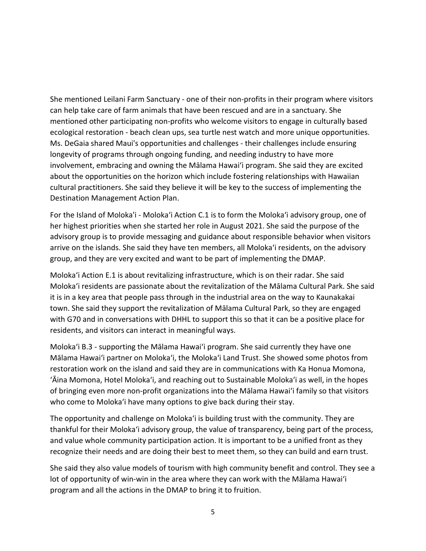She mentioned Leilani Farm Sanctuary - one of their non-profits in their program where visitors can help take care of farm animals that have been rescued and are in a sanctuary. She mentioned other participating non-profits who welcome visitors to engage in culturally based ecological restoration - beach clean ups, sea turtle nest watch and more unique opportunities. Ms. DeGaia shared Maui's opportunities and challenges - their challenges include ensuring longevity of programs through ongoing funding, and needing industry to have more involvement, embracing and owning the Mālama Hawai'i program. She said they are excited about the opportunities on the horizon which include fostering relationships with Hawaiian cultural practitioners. She said they believe it will be key to the success of implementing the Destination Management Action Plan.

For the Island of Moloka'i - Moloka'i Action C.1 is to form the Moloka'i advisory group, one of her highest priorities when she started her role in August 2021. She said the purpose of the advisory group is to provide messaging and guidance about responsible behavior when visitors arrive on the islands. She said they have ten members, all Moloka'i residents, on the advisory group, and they are very excited and want to be part of implementing the DMAP.

Moloka'i Action E.1 is about revitalizing infrastructure, which is on their radar. She said Moloka'i residents are passionate about the revitalization of the Mālama Cultural Park. She said it is in a key area that people pass through in the industrial area on the way to Kaunakakai town. She said they support the revitalization of Mālama Cultural Park, so they are engaged with G70 and in conversations with DHHL to support this so that it can be a positive place for residents, and visitors can interact in meaningful ways.

Moloka'i B.3 - supporting the Mālama Hawai'i program. She said currently they have one Mālama Hawai'i partner on Moloka'i, the Moloka'i Land Trust. She showed some photos from restoration work on the island and said they are in communications with Ka Honua Momona, 'Āina Momona, Hotel Moloka'i, and reaching out to Sustainable Moloka'i as well, in the hopes of bringing even more non-profit organizations into the Mālama Hawai'i family so that visitors who come to Moloka'i have many options to give back during their stay.

The opportunity and challenge on Moloka'i is building trust with the community. They are thankful for their Moloka'i advisory group, the value of transparency, being part of the process, and value whole community participation action. It is important to be a unified front as they recognize their needs and are doing their best to meet them, so they can build and earn trust.

She said they also value models of tourism with high community benefit and control. They see a lot of opportunity of win-win in the area where they can work with the Mālama Hawai'i program and all the actions in the DMAP to bring it to fruition.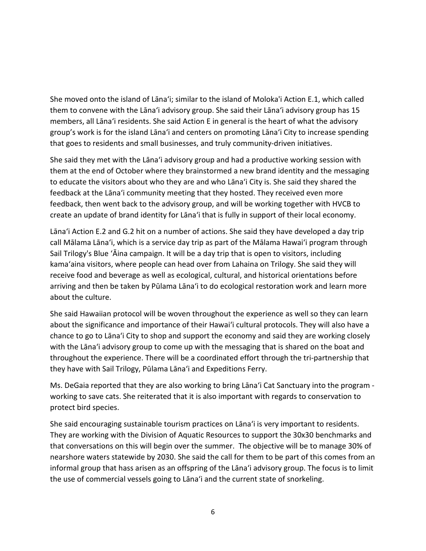She moved onto the island of Lānaʻi; similar to the island of Moloka'i Action E.1, which called them to convene with the Lānaʻi advisory group. She said their Lānaʻi advisory group has 15 members, all Lānaʻi residents. She said Action E in general is the heart of what the advisory group's work is for the island Lānaʻi and centers on promoting Lānaʻi City to increase spending that goes to residents and small businesses, and truly community-driven initiatives.

She said they met with the Lānaʻi advisory group and had a productive working session with them at the end of October where they brainstormed a new brand identity and the messaging to educate the visitors about who they are and who Lānaʻi City is. She said they shared the feedback at the Lānaʻi community meeting that they hosted. They received even more feedback, then went back to the advisory group, and will be working together with HVCB to create an update of brand identity for Lānaʻi that is fully in support of their local economy.

Lānaʻi Action E.2 and G.2 hit on a number of actions. She said they have developed a day trip call Mālama Lānaʻi, which is a service day trip as part of the Mālama Hawai'i program through Sail Trilogy's Blue 'Āina campaign. It will be a day trip that is open to visitors, including kama'aina visitors, where people can head over from Lahaina on Trilogy. She said they will receive food and beverage as well as ecological, cultural, and historical orientations before arriving and then be taken by Pūlama Lānaʻi to do ecological restoration work and learn more about the culture.

She said Hawaiian protocol will be woven throughout the experience as well so they can learn about the significance and importance of their Hawai'i cultural protocols. They will also have a chance to go to Lānaʻi City to shop and support the economy and said they are working closely with the Lānaʻi advisory group to come up with the messaging that is shared on the boat and throughout the experience. There will be a coordinated effort through the tri-partnership that they have with Sail Trilogy, Pūlama Lānaʻi and Expeditions Ferry.

Ms. DeGaia reported that they are also working to bring Lānaʻi Cat Sanctuary into the program working to save cats. She reiterated that it is also important with regards to conservation to protect bird species.

She said encouraging sustainable tourism practices on Lānaʻi is very important to residents. They are working with the Division of Aquatic Resources to support the 30x30 benchmarks and that conversations on this will begin over the summer. The objective will be to manage 30% of nearshore waters statewide by 2030. She said the call for them to be part of this comes from an informal group that hass arisen as an offspring of the Lānaʻi advisory group. The focus is to limit the use of commercial vessels going to Lānaʻi and the current state of snorkeling.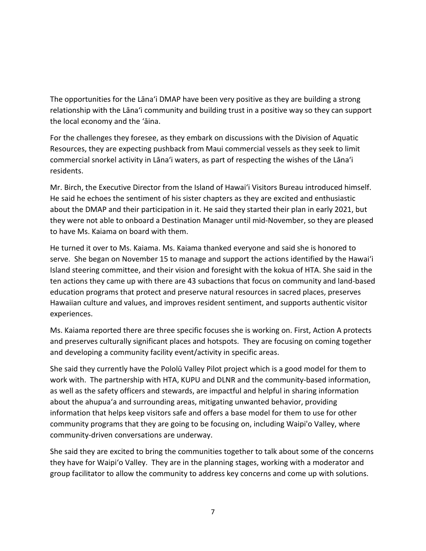The opportunities for the Lānaʻi DMAP have been very positive as they are building a strong relationship with the Lānaʻi community and building trust in a positive way so they can support the local economy and the 'āina.

For the challenges they foresee, as they embark on discussions with the Division of Aquatic Resources, they are expecting pushback from Maui commercial vessels as they seek to limit commercial snorkel activity in Lānaʻi waters, as part of respecting the wishes of the Lānaʻi residents.

Mr. Birch, the Executive Director from the Island of Hawai'i Visitors Bureau introduced himself. He said he echoes the sentiment of his sister chapters as they are excited and enthusiastic about the DMAP and their participation in it. He said they started their plan in early 2021, but they were not able to onboard a Destination Manager until mid-November, so they are pleased to have Ms. Kaiama on board with them.

He turned it over to Ms. Kaiama. Ms. Kaiama thanked everyone and said she is honored to serve. She began on November 15 to manage and support the actions identified by the Hawai'i Island steering committee, and their vision and foresight with the kokua of HTA. She said in the ten actions they came up with there are 43 subactions that focus on community and land-based education programs that protect and preserve natural resources in sacred places, preserves Hawaiian culture and values, and improves resident sentiment, and supports authentic visitor experiences.

Ms. Kaiama reported there are three specific focuses she is working on. First, Action A protects and preserves culturally significant places and hotspots. They are focusing on coming together and developing a community facility event/activity in specific areas.

She said they currently have the Pololū Valley Pilot project which is a good model for them to work with. The partnership with HTA, KUPU and DLNR and the community-based information, as well as the safety officers and stewards, are impactful and helpful in sharing information about the ahupuaʻa and surrounding areas, mitigating unwanted behavior, providing information that helps keep visitors safe and offers a base model for them to use for other community programs that they are going to be focusing on, including Waipi'o Valley, where community-driven conversations are underway.

She said they are excited to bring the communities together to talk about some of the concerns they have for Waipi'o Valley. They are in the planning stages, working with a moderator and group facilitator to allow the community to address key concerns and come up with solutions.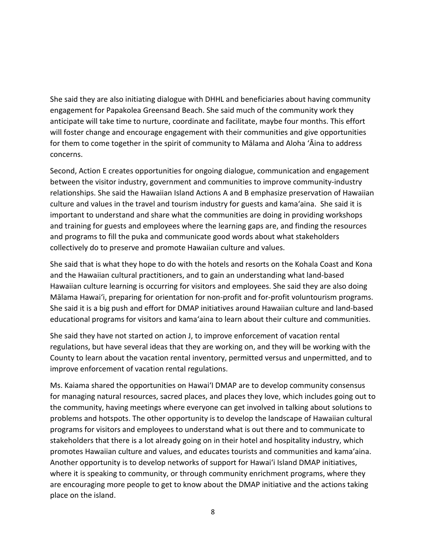She said they are also initiating dialogue with DHHL and beneficiaries about having community engagement for Papakolea Greensand Beach. She said much of the community work they anticipate will take time to nurture, coordinate and facilitate, maybe four months. This effort will foster change and encourage engagement with their communities and give opportunities for them to come together in the spirit of community to Mālama and Aloha 'Āina to address concerns.

Second, Action E creates opportunities for ongoing dialogue, communication and engagement between the visitor industry, government and communities to improve community-industry relationships. She said the Hawaiian Island Actions A and B emphasize preservation of Hawaiian culture and values in the travel and tourism industry for guests and kama'aina. She said it is important to understand and share what the communities are doing in providing workshops and training for guests and employees where the learning gaps are, and finding the resources and programs to fill the puka and communicate good words about what stakeholders collectively do to preserve and promote Hawaiian culture and values.

She said that is what they hope to do with the hotels and resorts on the Kohala Coast and Kona and the Hawaiian cultural practitioners, and to gain an understanding what land-based Hawaiian culture learning is occurring for visitors and employees. She said they are also doing Mālama Hawai'i, preparing for orientation for non-profit and for-profit voluntourism programs. She said it is a big push and effort for DMAP initiatives around Hawaiian culture and land-based educational programs for visitors and kama'aina to learn about their culture and communities.

She said they have not started on action J, to improve enforcement of vacation rental regulations, but have several ideas that they are working on, and they will be working with the County to learn about the vacation rental inventory, permitted versus and unpermitted, and to improve enforcement of vacation rental regulations.

Ms. Kaiama shared the opportunities on Hawai'I DMAP are to develop community consensus for managing natural resources, sacred places, and places they love, which includes going out to the community, having meetings where everyone can get involved in talking about solutions to problems and hotspots. The other opportunity is to develop the landscape of Hawaiian cultural programs for visitors and employees to understand what is out there and to communicate to stakeholders that there is a lot already going on in their hotel and hospitality industry, which promotes Hawaiian culture and values, and educates tourists and communities and kama'aina. Another opportunity is to develop networks of support for Hawai'i Island DMAP initiatives, where it is speaking to community, or through community enrichment programs, where they are encouraging more people to get to know about the DMAP initiative and the actions taking place on the island.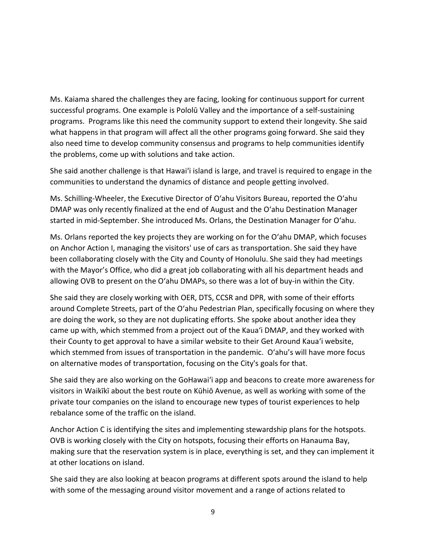Ms. Kaiama shared the challenges they are facing, looking for continuous support for current successful programs. One example is Pololū Valley and the importance of a self-sustaining programs. Programs like this need the community support to extend their longevity. She said what happens in that program will affect all the other programs going forward. She said they also need time to develop community consensus and programs to help communities identify the problems, come up with solutions and take action.

She said another challenge is that Hawai'i island is large, and travel is required to engage in the communities to understand the dynamics of distance and people getting involved.

Ms. Schilling-Wheeler, the Executive Director of Oʻahu Visitors Bureau, reported the Oʻahu DMAP was only recently finalized at the end of August and the Oʻahu Destination Manager started in mid-September. She introduced Ms. Orlans, the Destination Manager for Oʻahu.

Ms. Orlans reported the key projects they are working on for the Oʻahu DMAP, which focuses on Anchor Action I, managing the visitors' use of cars as transportation. She said they have been collaborating closely with the City and County of Honolulu. She said they had meetings with the Mayor's Office, who did a great job collaborating with all his department heads and allowing OVB to present on the Oʻahu DMAPs, so there was a lot of buy-in within the City.

She said they are closely working with OER, DTS, CCSR and DPR, with some of their efforts around Complete Streets, part of the Oʻahu Pedestrian Plan, specifically focusing on where they are doing the work, so they are not duplicating efforts. She spoke about another idea they came up with, which stemmed from a project out of the Kauaʻi DMAP, and they worked with their County to get approval to have a similar website to their Get Around Kauaʻi website, which stemmed from issues of transportation in the pandemic. O'ahu's will have more focus on alternative modes of transportation, focusing on the City's goals for that.

She said they are also working on the GoHawai'i app and beacons to create more awareness for visitors in Waikīkī about the best route on Kūhiō Avenue, as well as working with some of the private tour companies on the island to encourage new types of tourist experiences to help rebalance some of the traffic on the island.

Anchor Action C is identifying the sites and implementing stewardship plans for the hotspots. OVB is working closely with the City on hotspots, focusing their efforts on Hanauma Bay, making sure that the reservation system is in place, everything is set, and they can implement it at other locations on island.

She said they are also looking at beacon programs at different spots around the island to help with some of the messaging around visitor movement and a range of actions related to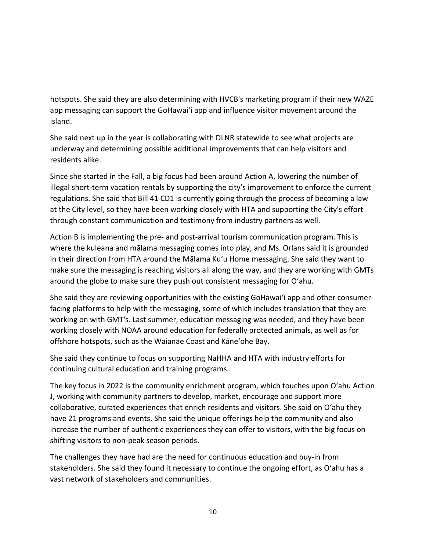hotspots. She said they are also determining with HVCB's marketing program if their new WAZE app messaging can support the GoHawai'i app and influence visitor movement around the island.

She said next up in the year is collaborating with DLNR statewide to see what projects are underway and determining possible additional improvements that can help visitors and residents alike.

Since she started in the Fall, a big focus had been around Action A, lowering the number of illegal short-term vacation rentals by supporting the city's improvement to enforce the current regulations. She said that Bill 41 CD1 is currently going through the process of becoming a law at the City level, so they have been working closely with HTA and supporting the City's effort through constant communication and testimony from industry partners as well.

Action B is implementing the pre- and post-arrival tourism communication program. This is where the kuleana and mālama messaging comes into play, and Ms. Orlans said it is grounded in their direction from HTA around the Mālama Ku'u Home messaging. She said they want to make sure the messaging is reaching visitors all along the way, and they are working with GMTs around the globe to make sure they push out consistent messaging for Oʻahu.

She said they are reviewing opportunities with the existing GoHawai'i app and other consumerfacing platforms to help with the messaging, some of which includes translation that they are working on with GMT's. Last summer, education messaging was needed, and they have been working closely with NOAA around education for federally protected animals, as well as for offshore hotspots, such as the Waianae Coast and Kāne'ohe Bay.

She said they continue to focus on supporting NaHHA and HTA with industry efforts for continuing cultural education and training programs.

The key focus in 2022 is the community enrichment program, which touches upon Oʻahu Action J, working with community partners to develop, market, encourage and support more collaborative, curated experiences that enrich residents and visitors. She said on Oʻahu they have 21 programs and events. She said the unique offerings help the community and also increase the number of authentic experiences they can offer to visitors, with the big focus on shifting visitors to non-peak season periods.

The challenges they have had are the need for continuous education and buy-in from stakeholders. She said they found it necessary to continue the ongoing effort, as Oʻahu has a vast network of stakeholders and communities.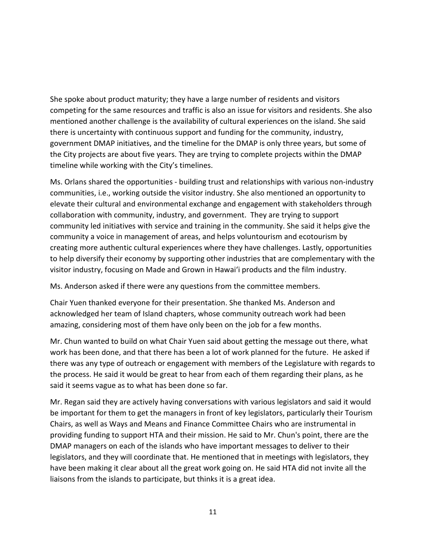She spoke about product maturity; they have a large number of residents and visitors competing for the same resources and traffic is also an issue for visitors and residents. She also mentioned another challenge is the availability of cultural experiences on the island. She said there is uncertainty with continuous support and funding for the community, industry, government DMAP initiatives, and the timeline for the DMAP is only three years, but some of the City projects are about five years. They are trying to complete projects within the DMAP timeline while working with the City's timelines.

Ms. Orlans shared the opportunities - building trust and relationships with various non-industry communities, i.e., working outside the visitor industry. She also mentioned an opportunity to elevate their cultural and environmental exchange and engagement with stakeholders through collaboration with community, industry, and government. They are trying to support community led initiatives with service and training in the community. She said it helps give the community a voice in management of areas, and helps voluntourism and ecotourism by creating more authentic cultural experiences where they have challenges. Lastly, opportunities to help diversify their economy by supporting other industries that are complementary with the visitor industry, focusing on Made and Grown in Hawai'i products and the film industry.

Ms. Anderson asked if there were any questions from the committee members.

Chair Yuen thanked everyone for their presentation. She thanked Ms. Anderson and acknowledged her team of Island chapters, whose community outreach work had been amazing, considering most of them have only been on the job for a few months.

Mr. Chun wanted to build on what Chair Yuen said about getting the message out there, what work has been done, and that there has been a lot of work planned for the future. He asked if there was any type of outreach or engagement with members of the Legislature with regards to the process. He said it would be great to hear from each of them regarding their plans, as he said it seems vague as to what has been done so far.

Mr. Regan said they are actively having conversations with various legislators and said it would be important for them to get the managers in front of key legislators, particularly their Tourism Chairs, as well as Ways and Means and Finance Committee Chairs who are instrumental in providing funding to support HTA and their mission. He said to Mr. Chun's point, there are the DMAP managers on each of the islands who have important messages to deliver to their legislators, and they will coordinate that. He mentioned that in meetings with legislators, they have been making it clear about all the great work going on. He said HTA did not invite all the liaisons from the islands to participate, but thinks it is a great idea.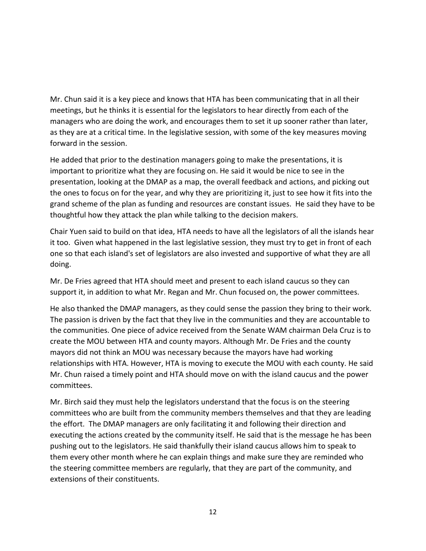Mr. Chun said it is a key piece and knows that HTA has been communicating that in all their meetings, but he thinks it is essential for the legislators to hear directly from each of the managers who are doing the work, and encourages them to set it up sooner rather than later, as they are at a critical time. In the legislative session, with some of the key measures moving forward in the session.

He added that prior to the destination managers going to make the presentations, it is important to prioritize what they are focusing on. He said it would be nice to see in the presentation, looking at the DMAP as a map, the overall feedback and actions, and picking out the ones to focus on for the year, and why they are prioritizing it, just to see how it fits into the grand scheme of the plan as funding and resources are constant issues. He said they have to be thoughtful how they attack the plan while talking to the decision makers.

Chair Yuen said to build on that idea, HTA needs to have all the legislators of all the islands hear it too. Given what happened in the last legislative session, they must try to get in front of each one so that each island's set of legislators are also invested and supportive of what they are all doing.

Mr. De Fries agreed that HTA should meet and present to each island caucus so they can support it, in addition to what Mr. Regan and Mr. Chun focused on, the power committees.

He also thanked the DMAP managers, as they could sense the passion they bring to their work. The passion is driven by the fact that they live in the communities and they are accountable to the communities. One piece of advice received from the Senate WAM chairman Dela Cruz is to create the MOU between HTA and county mayors. Although Mr. De Fries and the county mayors did not think an MOU was necessary because the mayors have had working relationships with HTA. However, HTA is moving to execute the MOU with each county. He said Mr. Chun raised a timely point and HTA should move on with the island caucus and the power committees.

Mr. Birch said they must help the legislators understand that the focus is on the steering committees who are built from the community members themselves and that they are leading the effort. The DMAP managers are only facilitating it and following their direction and executing the actions created by the community itself. He said that is the message he has been pushing out to the legislators. He said thankfully their island caucus allows him to speak to them every other month where he can explain things and make sure they are reminded who the steering committee members are regularly, that they are part of the community, and extensions of their constituents.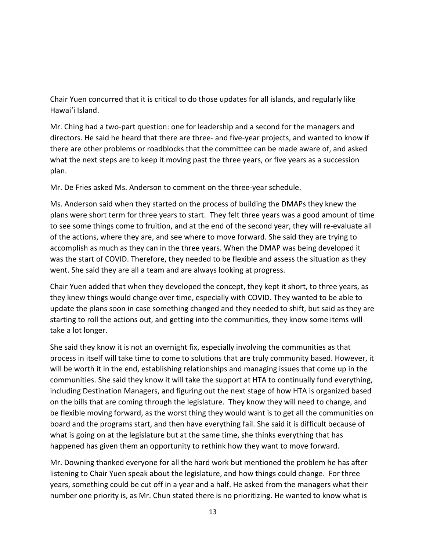Chair Yuen concurred that it is critical to do those updates for all islands, and regularly like Hawai'i Island.

Mr. Ching had a two-part question: one for leadership and a second for the managers and directors. He said he heard that there are three- and five-year projects, and wanted to know if there are other problems or roadblocks that the committee can be made aware of, and asked what the next steps are to keep it moving past the three years, or five years as a succession plan.

Mr. De Fries asked Ms. Anderson to comment on the three-year schedule.

Ms. Anderson said when they started on the process of building the DMAPs they knew the plans were short term for three years to start. They felt three years was a good amount of time to see some things come to fruition, and at the end of the second year, they will re-evaluate all of the actions, where they are, and see where to move forward. She said they are trying to accomplish as much as they can in the three years. When the DMAP was being developed it was the start of COVID. Therefore, they needed to be flexible and assess the situation as they went. She said they are all a team and are always looking at progress.

Chair Yuen added that when they developed the concept, they kept it short, to three years, as they knew things would change over time, especially with COVID. They wanted to be able to update the plans soon in case something changed and they needed to shift, but said as they are starting to roll the actions out, and getting into the communities, they know some items will take a lot longer.

She said they know it is not an overnight fix, especially involving the communities as that process in itself will take time to come to solutions that are truly community based. However, it will be worth it in the end, establishing relationships and managing issues that come up in the communities. She said they know it will take the support at HTA to continually fund everything, including Destination Managers, and figuring out the next stage of how HTA is organized based on the bills that are coming through the legislature. They know they will need to change, and be flexible moving forward, as the worst thing they would want is to get all the communities on board and the programs start, and then have everything fail. She said it is difficult because of what is going on at the legislature but at the same time, she thinks everything that has happened has given them an opportunity to rethink how they want to move forward.

Mr. Downing thanked everyone for all the hard work but mentioned the problem he has after listening to Chair Yuen speak about the legislature, and how things could change. For three years, something could be cut off in a year and a half. He asked from the managers what their number one priority is, as Mr. Chun stated there is no prioritizing. He wanted to know what is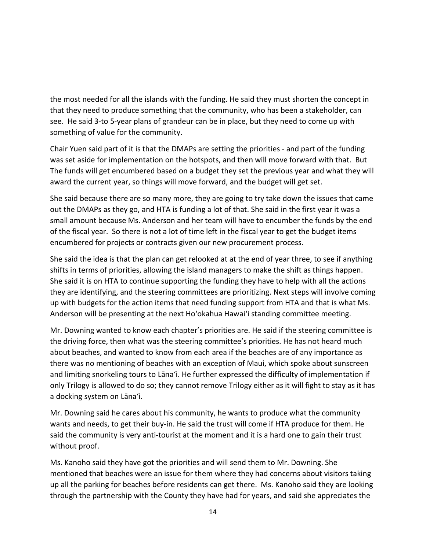the most needed for all the islands with the funding. He said they must shorten the concept in that they need to produce something that the community, who has been a stakeholder, can see. He said 3-to 5-year plans of grandeur can be in place, but they need to come up with something of value for the community.

Chair Yuen said part of it is that the DMAPs are setting the priorities - and part of the funding was set aside for implementation on the hotspots, and then will move forward with that. But The funds will get encumbered based on a budget they set the previous year and what they will award the current year, so things will move forward, and the budget will get set.

She said because there are so many more, they are going to try take down the issues that came out the DMAPs as they go, and HTA is funding a lot of that. She said in the first year it was a small amount because Ms. Anderson and her team will have to encumber the funds by the end of the fiscal year. So there is not a lot of time left in the fiscal year to get the budget items encumbered for projects or contracts given our new procurement process.

She said the idea is that the plan can get relooked at at the end of year three, to see if anything shifts in terms of priorities, allowing the island managers to make the shift as things happen. She said it is on HTA to continue supporting the funding they have to help with all the actions they are identifying, and the steering committees are prioritizing. Next steps will involve coming up with budgets for the action items that need funding support from HTA and that is what Ms. Anderson will be presenting at the next Ho'okahua Hawai'i standing committee meeting.

Mr. Downing wanted to know each chapter's priorities are. He said if the steering committee is the driving force, then what was the steering committee's priorities. He has not heard much about beaches, and wanted to know from each area if the beaches are of any importance as there was no mentioning of beaches with an exception of Maui, which spoke about sunscreen and limiting snorkeling tours to Lāna'i. He further expressed the difficulty of implementation if only Trilogy is allowed to do so; they cannot remove Trilogy either as it will fight to stay as it has a docking system on Lāna'i.

Mr. Downing said he cares about his community, he wants to produce what the community wants and needs, to get their buy-in. He said the trust will come if HTA produce for them. He said the community is very anti-tourist at the moment and it is a hard one to gain their trust without proof.

Ms. Kanoho said they have got the priorities and will send them to Mr. Downing. She mentioned that beaches were an issue for them where they had concerns about visitors taking up all the parking for beaches before residents can get there. Ms. Kanoho said they are looking through the partnership with the County they have had for years, and said she appreciates the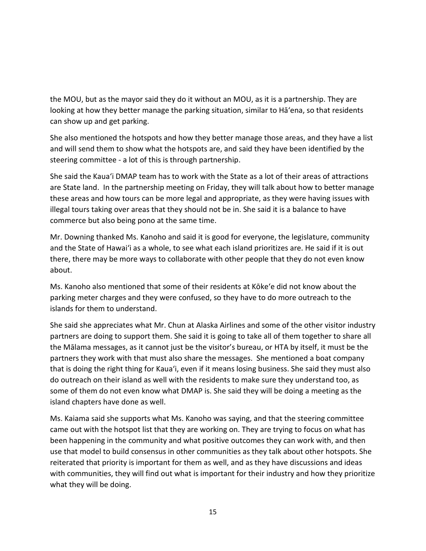the MOU, but as the mayor said they do it without an MOU, as it is a partnership. They are looking at how they better manage the parking situation, similar to Hā'ena, so that residents can show up and get parking.

She also mentioned the hotspots and how they better manage those areas, and they have a list and will send them to show what the hotspots are, and said they have been identified by the steering committee - a lot of this is through partnership.

She said the Kauaʻi DMAP team has to work with the State as a lot of their areas of attractions are State land. In the partnership meeting on Friday, they will talk about how to better manage these areas and how tours can be more legal and appropriate, as they were having issues with illegal tours taking over areas that they should not be in. She said it is a balance to have commerce but also being pono at the same time.

Mr. Downing thanked Ms. Kanoho and said it is good for everyone, the legislature, community and the State of Hawai'i as a whole, to see what each island prioritizes are. He said if it is out there, there may be more ways to collaborate with other people that they do not even know about.

Ms. Kanoho also mentioned that some of their residents at Kōkeʻe did not know about the parking meter charges and they were confused, so they have to do more outreach to the islands for them to understand.

She said she appreciates what Mr. Chun at Alaska Airlines and some of the other visitor industry partners are doing to support them. She said it is going to take all of them together to share all the Mālama messages, as it cannot just be the visitor's bureau, or HTA by itself, it must be the partners they work with that must also share the messages. She mentioned a boat company that is doing the right thing for Kauaʻi, even if it means losing business. She said they must also do outreach on their island as well with the residents to make sure they understand too, as some of them do not even know what DMAP is. She said they will be doing a meeting as the island chapters have done as well.

Ms. Kaiama said she supports what Ms. Kanoho was saying, and that the steering committee came out with the hotspot list that they are working on. They are trying to focus on what has been happening in the community and what positive outcomes they can work with, and then use that model to build consensus in other communities as they talk about other hotspots. She reiterated that priority is important for them as well, and as they have discussions and ideas with communities, they will find out what is important for their industry and how they prioritize what they will be doing.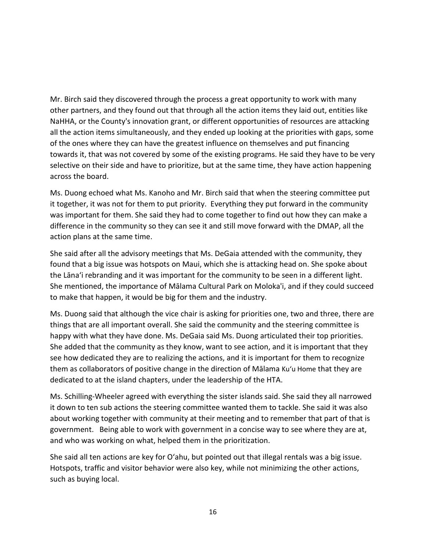Mr. Birch said they discovered through the process a great opportunity to work with many other partners, and they found out that through all the action items they laid out, entities like NaHHA, or the County's innovation grant, or different opportunities of resources are attacking all the action items simultaneously, and they ended up looking at the priorities with gaps, some of the ones where they can have the greatest influence on themselves and put financing towards it, that was not covered by some of the existing programs. He said they have to be very selective on their side and have to prioritize, but at the same time, they have action happening across the board.

Ms. Duong echoed what Ms. Kanoho and Mr. Birch said that when the steering committee put it together, it was not for them to put priority. Everything they put forward in the community was important for them. She said they had to come together to find out how they can make a difference in the community so they can see it and still move forward with the DMAP, all the action plans at the same time.

She said after all the advisory meetings that Ms. DeGaia attended with the community, they found that a big issue was hotspots on Maui, which she is attacking head on. She spoke about the Lāna'i rebranding and it was important for the community to be seen in a different light. She mentioned, the importance of Mālama Cultural Park on Moloka'i, and if they could succeed to make that happen, it would be big for them and the industry.

Ms. Duong said that although the vice chair is asking for priorities one, two and three, there are things that are all important overall. She said the community and the steering committee is happy with what they have done. Ms. DeGaia said Ms. Duong articulated their top priorities. She added that the community as they know, want to see action, and it is important that they see how dedicated they are to realizing the actions, and it is important for them to recognize them as collaborators of positive change in the direction of Mālama Kuʻu Home that they are dedicated to at the island chapters, under the leadership of the HTA.

Ms. Schilling-Wheeler agreed with everything the sister islands said. She said they all narrowed it down to ten sub actions the steering committee wanted them to tackle. She said it was also about working together with community at their meeting and to remember that part of that is government. Being able to work with government in a concise way to see where they are at, and who was working on what, helped them in the prioritization.

She said all ten actions are key for O'ahu, but pointed out that illegal rentals was a big issue. Hotspots, traffic and visitor behavior were also key, while not minimizing the other actions, such as buying local.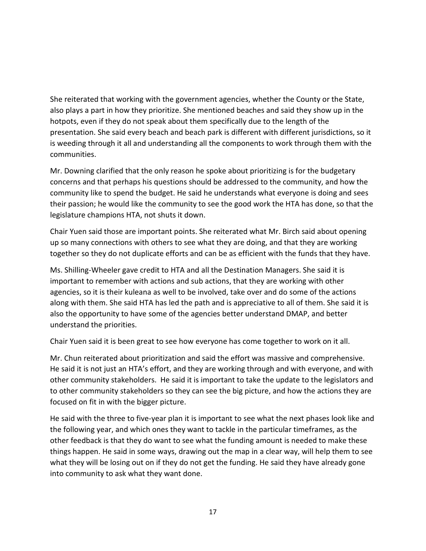She reiterated that working with the government agencies, whether the County or the State, also plays a part in how they prioritize. She mentioned beaches and said they show up in the hotpots, even if they do not speak about them specifically due to the length of the presentation. She said every beach and beach park is different with different jurisdictions, so it is weeding through it all and understanding all the components to work through them with the communities.

Mr. Downing clarified that the only reason he spoke about prioritizing is for the budgetary concerns and that perhaps his questions should be addressed to the community, and how the community like to spend the budget. He said he understands what everyone is doing and sees their passion; he would like the community to see the good work the HTA has done, so that the legislature champions HTA, not shuts it down.

Chair Yuen said those are important points. She reiterated what Mr. Birch said about opening up so many connections with others to see what they are doing, and that they are working together so they do not duplicate efforts and can be as efficient with the funds that they have.

Ms. Shilling-Wheeler gave credit to HTA and all the Destination Managers. She said it is important to remember with actions and sub actions, that they are working with other agencies, so it is their kuleana as well to be involved, take over and do some of the actions along with them. She said HTA has led the path and is appreciative to all of them. She said it is also the opportunity to have some of the agencies better understand DMAP, and better understand the priorities.

Chair Yuen said it is been great to see how everyone has come together to work on it all.

Mr. Chun reiterated about prioritization and said the effort was massive and comprehensive. He said it is not just an HTA's effort, and they are working through and with everyone, and with other community stakeholders. He said it is important to take the update to the legislators and to other community stakeholders so they can see the big picture, and how the actions they are focused on fit in with the bigger picture.

He said with the three to five-year plan it is important to see what the next phases look like and the following year, and which ones they want to tackle in the particular timeframes, as the other feedback is that they do want to see what the funding amount is needed to make these things happen. He said in some ways, drawing out the map in a clear way, will help them to see what they will be losing out on if they do not get the funding. He said they have already gone into community to ask what they want done.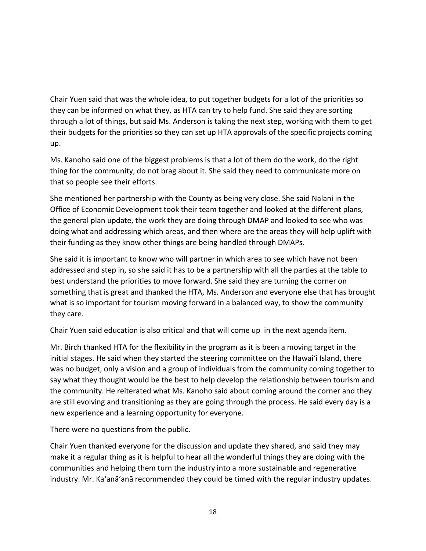Chair Yuen said that was the whole idea, to put together budgets for a lot of the priorities so they can be informed on what they, as HTA can try to help fund. She said they are sorting through a lot of things, but said Ms. Anderson is taking the next step, working with them to get their budgets for the priorities so they can set up HTA approvals of the specific projects coming up.

Ms. Kanoho said one of the biggest problems is that a lot of them do the work, do the right thing for the community, do not brag about it. She said they need to communicate more on that so people see their efforts.

She mentioned her partnership with the County as being very close. She said Nalani in the Office of Economic Development took their team together and looked at the different plans, the general plan update, the work they are doing through DMAP and looked to see who was doing what and addressing which areas, and then where are the areas they will help uplift with their funding as they know other things are being handled through DMAPs.

She said it is important to know who will partner in which area to see which have not been addressed and step in, so she said it has to be a partnership with all the parties at the table to best understand the priorities to move forward. She said they are turning the corner on something that is great and thanked the HTA, Ms. Anderson and everyone else that has brought what is so important for tourism moving forward in a balanced way, to show the community they care.

Chair Yuen said education is also critical and that will come up in the next agenda item.

Mr. Birch thanked HTA for the flexibility in the program as it is been a moving target in the initial stages. He said when they started the steering committee on the Hawai'i Island, there was no budget, only a vision and a group of individuals from the community coming together to say what they thought would be the best to help develop the relationship between tourism and the community. He reiterated what Ms. Kanoho said about coming around the corner and they are still evolving and transitioning as they are going through the process. He said every day is a new experience and a learning opportunity for everyone.

There were no questions from the public.

Chair Yuen thanked everyone for the discussion and update they shared, and said they may make it a regular thing as it is helpful to hear all the wonderful things they are doing with the communities and helping them turn the industry into a more sustainable and regenerative industry. Mr. Ka'anā'anā recommended they could be timed with the regular industry updates.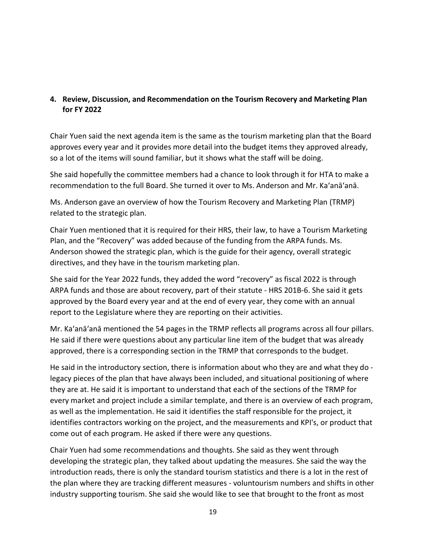## **4. Review, Discussion, and Recommendation on the Tourism Recovery and Marketing Plan for FY 2022**

Chair Yuen said the next agenda item is the same as the tourism marketing plan that the Board approves every year and it provides more detail into the budget items they approved already, so a lot of the items will sound familiar, but it shows what the staff will be doing.

She said hopefully the committee members had a chance to look through it for HTA to make a recommendation to the full Board. She turned it over to Ms. Anderson and Mr. Ka'anā'anā.

Ms. Anderson gave an overview of how the Tourism Recovery and Marketing Plan (TRMP) related to the strategic plan.

Chair Yuen mentioned that it is required for their HRS, their law, to have a Tourism Marketing Plan, and the "Recovery" was added because of the funding from the ARPA funds. Ms. Anderson showed the strategic plan, which is the guide for their agency, overall strategic directives, and they have in the tourism marketing plan.

She said for the Year 2022 funds, they added the word "recovery" as fiscal 2022 is through ARPA funds and those are about recovery, part of their statute - HRS 201B-6. She said it gets approved by the Board every year and at the end of every year, they come with an annual report to the Legislature where they are reporting on their activities.

Mr. Ka'anā'anā mentioned the 54 pages in the TRMP reflects all programs across all four pillars. He said if there were questions about any particular line item of the budget that was already approved, there is a corresponding section in the TRMP that corresponds to the budget.

He said in the introductory section, there is information about who they are and what they do legacy pieces of the plan that have always been included, and situational positioning of where they are at. He said it is important to understand that each of the sections of the TRMP for every market and project include a similar template, and there is an overview of each program, as well as the implementation. He said it identifies the staff responsible for the project, it identifies contractors working on the project, and the measurements and KPI's, or product that come out of each program. He asked if there were any questions.

Chair Yuen had some recommendations and thoughts. She said as they went through developing the strategic plan, they talked about updating the measures. She said the way the introduction reads, there is only the standard tourism statistics and there is a lot in the rest of the plan where they are tracking different measures - voluntourism numbers and shifts in other industry supporting tourism. She said she would like to see that brought to the front as most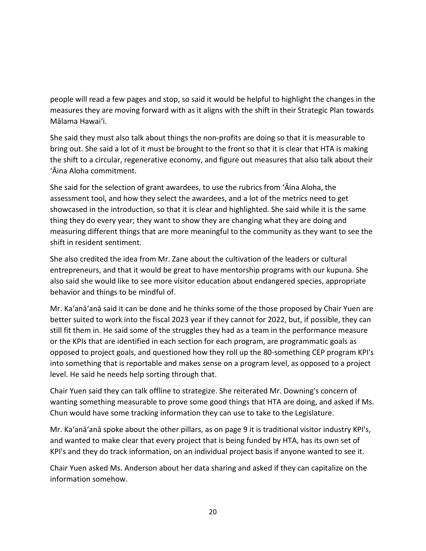people will read a few pages and stop, so said it would be helpful to highlight the changes in the measures they are moving forward with as it aligns with the shift in their Strategic Plan towards Mālama Hawai'i.

She said they must also talk about things the non-profits are doing so that it is measurable to bring out. She said a lot of it must be brought to the front so that it is clear that HTA is making the shift to a circular, regenerative economy, and figure out measures that also talk about their ʻĀina Aloha commitment.

She said for the selection of grant awardees, to use the rubrics from ʻĀina Aloha, the assessment tool, and how they select the awardees, and a lot of the metrics need to get showcased in the introduction, so that it is clear and highlighted. She said while it is the same thing they do every year; they want to show they are changing what they are doing and measuring different things that are more meaningful to the community as they want to see the shift in resident sentiment.

She also credited the idea from Mr. Zane about the cultivation of the leaders or cultural entrepreneurs, and that it would be great to have mentorship programs with our kupuna. She also said she would like to see more visitor education about endangered species, appropriate behavior and things to be mindful of.

Mr. Ka'anā'anā said it can be done and he thinks some of the those proposed by Chair Yuen are better suited to work into the fiscal 2023 year if they cannot for 2022, but, if possible, they can still fit them in. He said some of the struggles they had as a team in the performance measure or the KPIs that are identified in each section for each program, are programmatic goals as opposed to project goals, and questioned how they roll up the 80-something CEP program KPI's into something that is reportable and makes sense on a program level, as opposed to a project level. He said he needs help sorting through that.

Chair Yuen said they can talk offline to strategize. She reiterated Mr. Downing's concern of wanting something measurable to prove some good things that HTA are doing, and asked if Ms. Chun would have some tracking information they can use to take to the Legislature.

Mr. Ka'anā'anā spoke about the other pillars, as on page 9 it is traditional visitor industry KPI's, and wanted to make clear that every project that is being funded by HTA, has its own set of KPI's and they do track information, on an individual project basis if anyone wanted to see it.

Chair Yuen asked Ms. Anderson about her data sharing and asked if they can capitalize on the information somehow.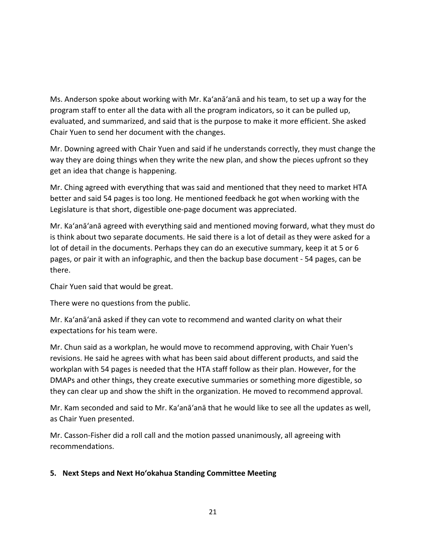Ms. Anderson spoke about working with Mr. Ka'anā'anā and his team, to set up a way for the program staff to enter all the data with all the program indicators, so it can be pulled up, evaluated, and summarized, and said that is the purpose to make it more efficient. She asked Chair Yuen to send her document with the changes.

Mr. Downing agreed with Chair Yuen and said if he understands correctly, they must change the way they are doing things when they write the new plan, and show the pieces upfront so they get an idea that change is happening.

Mr. Ching agreed with everything that was said and mentioned that they need to market HTA better and said 54 pages is too long. He mentioned feedback he got when working with the Legislature is that short, digestible one-page document was appreciated.

Mr. Ka'anā'anā agreed with everything said and mentioned moving forward, what they must do is think about two separate documents. He said there is a lot of detail as they were asked for a lot of detail in the documents. Perhaps they can do an executive summary, keep it at 5 or 6 pages, or pair it with an infographic, and then the backup base document - 54 pages, can be there.

Chair Yuen said that would be great.

There were no questions from the public.

Mr. Ka'anā'anā asked if they can vote to recommend and wanted clarity on what their expectations for his team were.

Mr. Chun said as a workplan, he would move to recommend approving, with Chair Yuen's revisions. He said he agrees with what has been said about different products, and said the workplan with 54 pages is needed that the HTA staff follow as their plan. However, for the DMAPs and other things, they create executive summaries or something more digestible, so they can clear up and show the shift in the organization. He moved to recommend approval.

Mr. Kam seconded and said to Mr. Ka'anā'anā that he would like to see all the updates as well, as Chair Yuen presented.

Mr. Casson-Fisher did a roll call and the motion passed unanimously, all agreeing with recommendations.

# **5. Next Steps and Next Hoʻokahua Standing Committee Meeting**